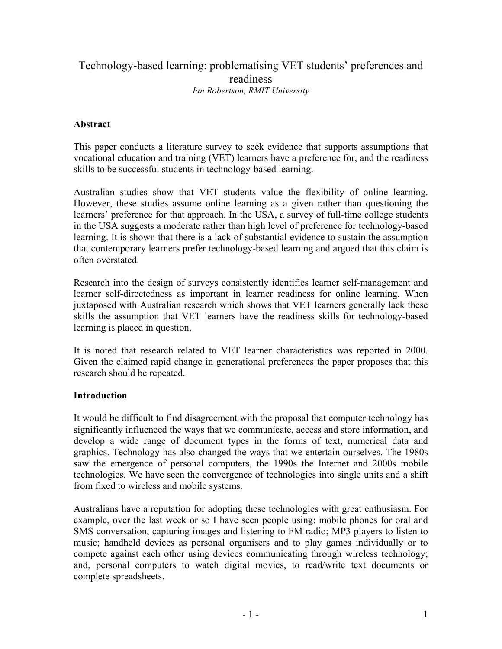# Technology-based learning: problematising VET students' preferences and readiness *Ian Robertson, RMIT University*

#### **Abstract**

This paper conducts a literature survey to seek evidence that supports assumptions that vocational education and training (VET) learners have a preference for, and the readiness skills to be successful students in technology-based learning.

Australian studies show that VET students value the flexibility of online learning. However, these studies assume online learning as a given rather than questioning the learners' preference for that approach. In the USA, a survey of full-time college students in the USA suggests a moderate rather than high level of preference for technology-based learning. It is shown that there is a lack of substantial evidence to sustain the assumption that contemporary learners prefer technology-based learning and argued that this claim is often overstated.

Research into the design of surveys consistently identifies learner self-management and learner self-directedness as important in learner readiness for online learning. When juxtaposed with Australian research which shows that VET learners generally lack these skills the assumption that VET learners have the readiness skills for technology-based learning is placed in question.

It is noted that research related to VET learner characteristics was reported in 2000. Given the claimed rapid change in generational preferences the paper proposes that this research should be repeated.

#### **Introduction**

It would be difficult to find disagreement with the proposal that computer technology has significantly influenced the ways that we communicate, access and store information, and develop a wide range of document types in the forms of text, numerical data and graphics. Technology has also changed the ways that we entertain ourselves. The 1980s saw the emergence of personal computers, the 1990s the Internet and 2000s mobile technologies. We have seen the convergence of technologies into single units and a shift from fixed to wireless and mobile systems.

Australians have a reputation for adopting these technologies with great enthusiasm. For example, over the last week or so I have seen people using: mobile phones for oral and SMS conversation, capturing images and listening to FM radio; MP3 players to listen to music; handheld devices as personal organisers and to play games individually or to compete against each other using devices communicating through wireless technology; and, personal computers to watch digital movies, to read/write text documents or complete spreadsheets.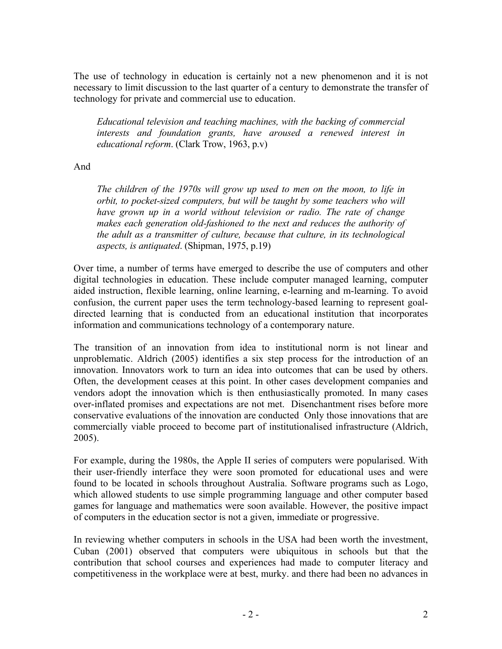The use of technology in education is certainly not a new phenomenon and it is not necessary to limit discussion to the last quarter of a century to demonstrate the transfer of technology for private and commercial use to education.

*Educational television and teaching machines, with the backing of commercial interests and foundation grants, have aroused a renewed interest in educational reform*. (Clark Trow, 1963, p.v)

And

*The children of the 1970s will grow up used to men on the moon, to life in orbit, to pocket-sized computers, but will be taught by some teachers who will have grown up in a world without television or radio. The rate of change makes each generation old-fashioned to the next and reduces the authority of the adult as a transmitter of culture, because that culture, in its technological aspects, is antiquated*. (Shipman, 1975, p.19)

Over time, a number of terms have emerged to describe the use of computers and other digital technologies in education. These include computer managed learning, computer aided instruction, flexible learning, online learning, e-learning and m-learning. To avoid confusion, the current paper uses the term technology-based learning to represent goaldirected learning that is conducted from an educational institution that incorporates information and communications technology of a contemporary nature.

The transition of an innovation from idea to institutional norm is not linear and unproblematic. Aldrich (2005) identifies a six step process for the introduction of an innovation. Innovators work to turn an idea into outcomes that can be used by others. Often, the development ceases at this point. In other cases development companies and vendors adopt the innovation which is then enthusiastically promoted. In many cases over-inflated promises and expectations are not met. Disenchantment rises before more conservative evaluations of the innovation are conducted Only those innovations that are commercially viable proceed to become part of institutionalised infrastructure (Aldrich, 2005).

For example, during the 1980s, the Apple II series of computers were popularised. With their user-friendly interface they were soon promoted for educational uses and were found to be located in schools throughout Australia. Software programs such as Logo, which allowed students to use simple programming language and other computer based games for language and mathematics were soon available. However, the positive impact of computers in the education sector is not a given, immediate or progressive.

In reviewing whether computers in schools in the USA had been worth the investment, Cuban (2001) observed that computers were ubiquitous in schools but that the contribution that school courses and experiences had made to computer literacy and competitiveness in the workplace were at best, murky. and there had been no advances in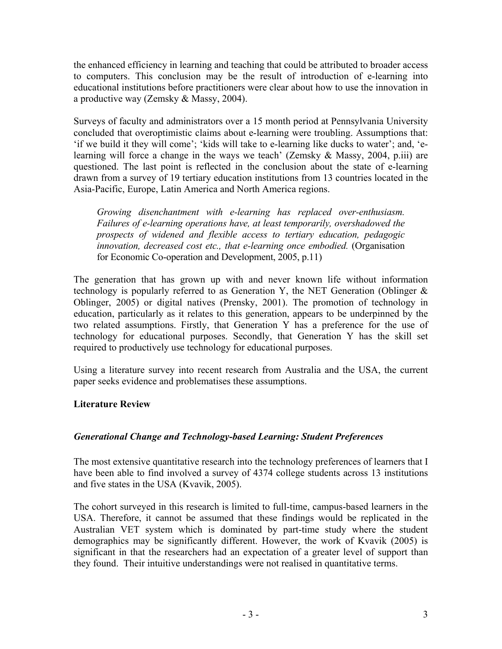the enhanced efficiency in learning and teaching that could be attributed to broader access to computers. This conclusion may be the result of introduction of e-learning into educational institutions before practitioners were clear about how to use the innovation in a productive way (Zemsky & Massy, 2004).

Surveys of faculty and administrators over a 15 month period at Pennsylvania University concluded that overoptimistic claims about e-learning were troubling. Assumptions that: 'if we build it they will come'; 'kids will take to e-learning like ducks to water'; and, 'elearning will force a change in the ways we teach' (Zemsky & Massy, 2004, p.iii) are questioned. The last point is reflected in the conclusion about the state of e-learning drawn from a survey of 19 tertiary education institutions from 13 countries located in the Asia-Pacific, Europe, Latin America and North America regions.

*Growing disenchantment with e-learning has replaced over-enthusiasm. Failures of e-learning operations have, at least temporarily, overshadowed the prospects of widened and flexible access to tertiary education, pedagogic innovation, decreased cost etc., that e-learning once embodied.* (Organisation for Economic Co-operation and Development, 2005, p.11)

The generation that has grown up with and never known life without information technology is popularly referred to as Generation Y, the NET Generation (Oblinger & Oblinger, 2005) or digital natives (Prensky, 2001). The promotion of technology in education, particularly as it relates to this generation, appears to be underpinned by the two related assumptions. Firstly, that Generation Y has a preference for the use of technology for educational purposes. Secondly, that Generation Y has the skill set required to productively use technology for educational purposes.

Using a literature survey into recent research from Australia and the USA, the current paper seeks evidence and problematises these assumptions.

## **Literature Review**

## *Generational Change and Technology-based Learning: Student Preferences*

The most extensive quantitative research into the technology preferences of learners that I have been able to find involved a survey of 4374 college students across 13 institutions and five states in the USA (Kvavik, 2005).

The cohort surveyed in this research is limited to full-time, campus-based learners in the USA. Therefore, it cannot be assumed that these findings would be replicated in the Australian VET system which is dominated by part-time study where the student demographics may be significantly different. However, the work of Kvavik (2005) is significant in that the researchers had an expectation of a greater level of support than they found. Their intuitive understandings were not realised in quantitative terms.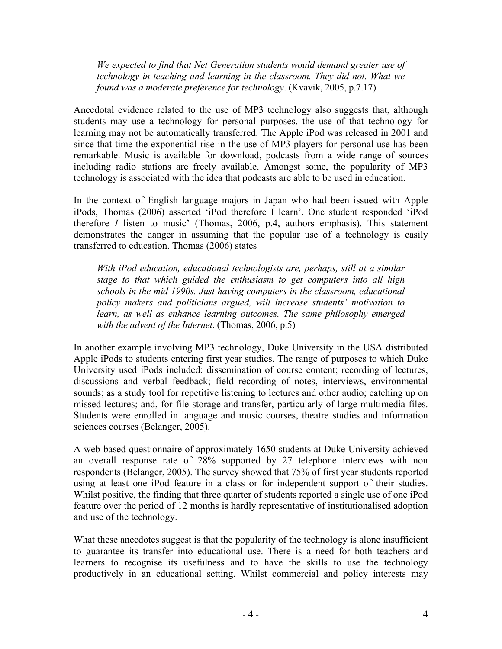*We expected to find that Net Generation students would demand greater use of technology in teaching and learning in the classroom. They did not. What we found was a moderate preference for technology*. (Kvavik, 2005, p.7.17)

Anecdotal evidence related to the use of MP3 technology also suggests that, although students may use a technology for personal purposes, the use of that technology for learning may not be automatically transferred. The Apple iPod was released in 2001 and since that time the exponential rise in the use of MP3 players for personal use has been remarkable. Music is available for download, podcasts from a wide range of sources including radio stations are freely available. Amongst some, the popularity of MP3 technology is associated with the idea that podcasts are able to be used in education.

In the context of English language majors in Japan who had been issued with Apple iPods, Thomas (2006) asserted 'iPod therefore I learn'. One student responded 'iPod therefore *I* listen to music' (Thomas, 2006, p.4, authors emphasis). This statement demonstrates the danger in assuming that the popular use of a technology is easily transferred to education. Thomas (2006) states

*With iPod education, educational technologists are, perhaps, still at a similar stage to that which guided the enthusiasm to get computers into all high schools in the mid 1990s. Just having computers in the classroom, educational policy makers and politicians argued, will increase students' motivation to learn, as well as enhance learning outcomes. The same philosophy emerged with the advent of the Internet*. (Thomas, 2006, p.5)

In another example involving MP3 technology, Duke University in the USA distributed Apple iPods to students entering first year studies. The range of purposes to which Duke University used iPods included: dissemination of course content; recording of lectures, discussions and verbal feedback; field recording of notes, interviews, environmental sounds; as a study tool for repetitive listening to lectures and other audio; catching up on missed lectures; and, for file storage and transfer, particularly of large multimedia files. Students were enrolled in language and music courses, theatre studies and information sciences courses (Belanger, 2005).

A web-based questionnaire of approximately 1650 students at Duke University achieved an overall response rate of 28% supported by 27 telephone interviews with non respondents (Belanger, 2005). The survey showed that 75% of first year students reported using at least one iPod feature in a class or for independent support of their studies. Whilst positive, the finding that three quarter of students reported a single use of one iPod feature over the period of 12 months is hardly representative of institutionalised adoption and use of the technology.

What these anecdotes suggest is that the popularity of the technology is alone insufficient to guarantee its transfer into educational use. There is a need for both teachers and learners to recognise its usefulness and to have the skills to use the technology productively in an educational setting. Whilst commercial and policy interests may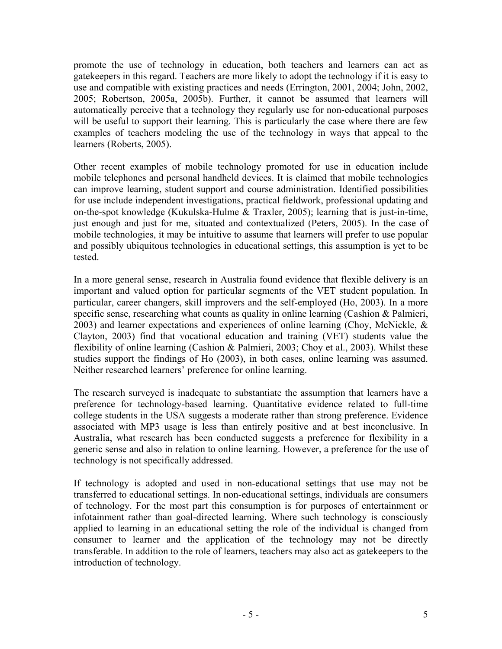promote the use of technology in education, both teachers and learners can act as gatekeepers in this regard. Teachers are more likely to adopt the technology if it is easy to use and compatible with existing practices and needs (Errington, 2001, 2004; John, 2002, 2005; Robertson, 2005a, 2005b). Further, it cannot be assumed that learners will automatically perceive that a technology they regularly use for non-educational purposes will be useful to support their learning. This is particularly the case where there are few examples of teachers modeling the use of the technology in ways that appeal to the learners (Roberts, 2005).

Other recent examples of mobile technology promoted for use in education include mobile telephones and personal handheld devices. It is claimed that mobile technologies can improve learning, student support and course administration. Identified possibilities for use include independent investigations, practical fieldwork, professional updating and on-the-spot knowledge (Kukulska-Hulme & Traxler, 2005); learning that is just-in-time, just enough and just for me, situated and contextualized (Peters, 2005). In the case of mobile technologies, it may be intuitive to assume that learners will prefer to use popular and possibly ubiquitous technologies in educational settings, this assumption is yet to be tested.

In a more general sense, research in Australia found evidence that flexible delivery is an important and valued option for particular segments of the VET student population. In particular, career changers, skill improvers and the self-employed (Ho, 2003). In a more specific sense, researching what counts as quality in online learning (Cashion & Palmieri, 2003) and learner expectations and experiences of online learning (Choy, McNickle, & Clayton, 2003) find that vocational education and training (VET) students value the flexibility of online learning (Cashion & Palmieri, 2003; Choy et al., 2003). Whilst these studies support the findings of Ho (2003), in both cases, online learning was assumed. Neither researched learners' preference for online learning.

The research surveyed is inadequate to substantiate the assumption that learners have a preference for technology-based learning. Quantitative evidence related to full-time college students in the USA suggests a moderate rather than strong preference. Evidence associated with MP3 usage is less than entirely positive and at best inconclusive. In Australia, what research has been conducted suggests a preference for flexibility in a generic sense and also in relation to online learning. However, a preference for the use of technology is not specifically addressed.

If technology is adopted and used in non-educational settings that use may not be transferred to educational settings. In non-educational settings, individuals are consumers of technology. For the most part this consumption is for purposes of entertainment or infotainment rather than goal-directed learning. Where such technology is consciously applied to learning in an educational setting the role of the individual is changed from consumer to learner and the application of the technology may not be directly transferable. In addition to the role of learners, teachers may also act as gatekeepers to the introduction of technology.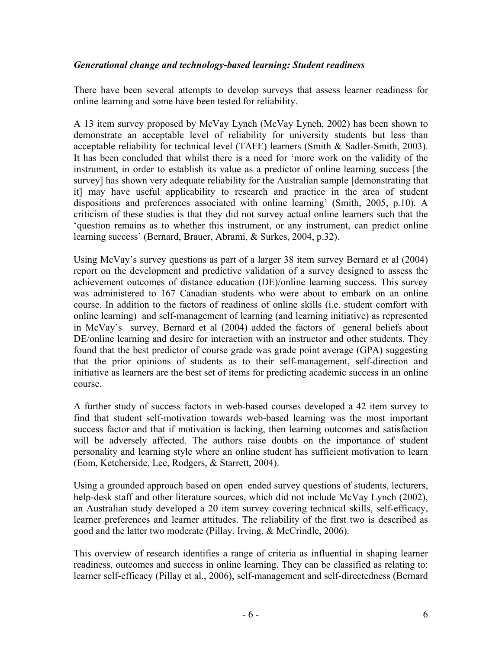#### *Generational change and technology-based learning: Student readiness*

There have been several attempts to develop surveys that assess learner readiness for online learning and some have been tested for reliability.

A 13 item survey proposed by McVay Lynch (McVay Lynch, 2002) has been shown to demonstrate an acceptable level of reliability for university students but less than acceptable reliability for technical level (TAFE) learners (Smith & Sadler-Smith, 2003). It has been concluded that whilst there is a need for 'more work on the validity of the instrument, in order to establish its value as a predictor of online learning success [the survey] has shown very adequate reliability for the Australian sample [demonstrating that it] may have useful applicability to research and practice in the area of student dispositions and preferences associated with online learning' (Smith, 2005, p.10). A criticism of these studies is that they did not survey actual online learners such that the 'question remains as to whether this instrument, or any instrument, can predict online learning success' (Bernard, Brauer, Abrami, & Surkes, 2004, p.32).

Using McVay's survey questions as part of a larger 38 item survey Bernard et al (2004) report on the development and predictive validation of a survey designed to assess the achievement outcomes of distance education (DE)/online learning success. This survey was administered to 167 Canadian students who were about to embark on an online course. In addition to the factors of readiness of online skills (i.e. student comfort with online learning) and self-management of learning (and learning initiative) as represented in McVay's survey, Bernard et al (2004) added the factors of general beliefs about DE/online learning and desire for interaction with an instructor and other students. They found that the best predictor of course grade was grade point average (GPA) suggesting that the prior opinions of students as to their self-management, self-direction and initiative as learners are the best set of items for predicting academic success in an online course.

A further study of success factors in web-based courses developed a 42 item survey to find that student self-motivation towards web-based learning was the most important success factor and that if motivation is lacking, then learning outcomes and satisfaction will be adversely affected. The authors raise doubts on the importance of student personality and learning style where an online student has sufficient motivation to learn (Eom, Ketcherside, Lee, Rodgers, & Starrett, 2004).

Using a grounded approach based on open–ended survey questions of students, lecturers, help-desk staff and other literature sources, which did not include McVay Lynch (2002), an Australian study developed a 20 item survey covering technical skills, self-efficacy, learner preferences and learner attitudes. The reliability of the first two is described as good and the latter two moderate (Pillay, Irving, & McCrindle, 2006).

This overview of research identifies a range of criteria as influential in shaping learner readiness, outcomes and success in online learning. They can be classified as relating to: learner self-efficacy (Pillay et al., 2006), self-management and self-directedness (Bernard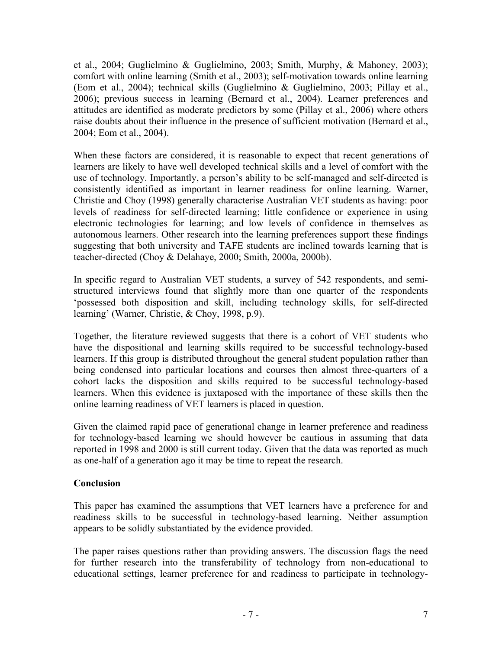et al., 2004; Guglielmino & Guglielmino, 2003; Smith, Murphy, & Mahoney, 2003); comfort with online learning (Smith et al., 2003); self-motivation towards online learning (Eom et al., 2004); technical skills (Guglielmino & Guglielmino, 2003; Pillay et al., 2006); previous success in learning (Bernard et al., 2004). Learner preferences and attitudes are identified as moderate predictors by some (Pillay et al., 2006) where others raise doubts about their influence in the presence of sufficient motivation (Bernard et al., 2004; Eom et al., 2004).

When these factors are considered, it is reasonable to expect that recent generations of learners are likely to have well developed technical skills and a level of comfort with the use of technology. Importantly, a person's ability to be self-managed and self-directed is consistently identified as important in learner readiness for online learning. Warner, Christie and Choy (1998) generally characterise Australian VET students as having: poor levels of readiness for self-directed learning; little confidence or experience in using electronic technologies for learning; and low levels of confidence in themselves as autonomous learners. Other research into the learning preferences support these findings suggesting that both university and TAFE students are inclined towards learning that is teacher-directed (Choy & Delahaye, 2000; Smith, 2000a, 2000b).

In specific regard to Australian VET students, a survey of 542 respondents, and semistructured interviews found that slightly more than one quarter of the respondents 'possessed both disposition and skill, including technology skills, for self-directed learning' (Warner, Christie, & Choy, 1998, p.9).

Together, the literature reviewed suggests that there is a cohort of VET students who have the dispositional and learning skills required to be successful technology-based learners. If this group is distributed throughout the general student population rather than being condensed into particular locations and courses then almost three-quarters of a cohort lacks the disposition and skills required to be successful technology-based learners. When this evidence is juxtaposed with the importance of these skills then the online learning readiness of VET learners is placed in question.

Given the claimed rapid pace of generational change in learner preference and readiness for technology-based learning we should however be cautious in assuming that data reported in 1998 and 2000 is still current today. Given that the data was reported as much as one-half of a generation ago it may be time to repeat the research.

## **Conclusion**

This paper has examined the assumptions that VET learners have a preference for and readiness skills to be successful in technology-based learning. Neither assumption appears to be solidly substantiated by the evidence provided.

The paper raises questions rather than providing answers. The discussion flags the need for further research into the transferability of technology from non-educational to educational settings, learner preference for and readiness to participate in technology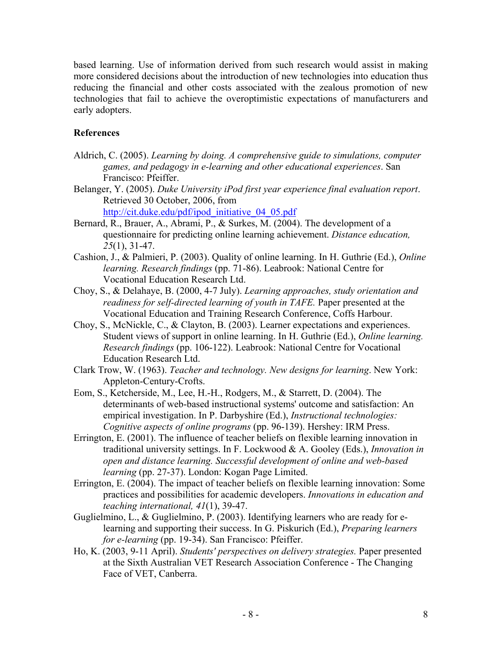based learning. Use of information derived from such research would assist in making more considered decisions about the introduction of new technologies into education thus reducing the financial and other costs associated with the zealous promotion of new technologies that fail to achieve the overoptimistic expectations of manufacturers and early adopters.

### **References**

- Aldrich, C. (2005). *Learning by doing. A comprehensive guide to simulations, computer games, and pedagogy in e-learning and other educational experiences*. San Francisco: Pfeiffer.
- Belanger, Y. (2005). *Duke University iPod first year experience final evaluation report*. Retrieved 30 October, 2006, from

http://cit.duke.edu/pdf/ipod\_initiative\_04\_05.pdf

- Bernard, R., Brauer, A., Abrami, P., & Surkes, M. (2004). The development of a questionnaire for predicting online learning achievement. *Distance education, 25*(1), 31-47.
- Cashion, J., & Palmieri, P. (2003). Quality of online learning. In H. Guthrie (Ed.), *Online learning. Research findings* (pp. 71-86). Leabrook: National Centre for Vocational Education Research Ltd.
- Choy, S., & Delahaye, B. (2000, 4-7 July). *Learning approaches, study orientation and readiness for self-directed learning of youth in TAFE.* Paper presented at the Vocational Education and Training Research Conference, Coffs Harbour.
- Choy, S., McNickle, C., & Clayton, B. (2003). Learner expectations and experiences. Student views of support in online learning. In H. Guthrie (Ed.), *Online learning. Research findings* (pp. 106-122). Leabrook: National Centre for Vocational Education Research Ltd.
- Clark Trow, W. (1963). *Teacher and technology. New designs for learning*. New York: Appleton-Century-Crofts.
- Eom, S., Ketcherside, M., Lee, H.-H., Rodgers, M., & Starrett, D. (2004). The determinants of web-based instructional systems' outcome and satisfaction: An empirical investigation. In P. Darbyshire (Ed.), *Instructional technologies: Cognitive aspects of online programs* (pp. 96-139). Hershey: IRM Press.
- Errington, E. (2001). The influence of teacher beliefs on flexible learning innovation in traditional university settings. In F. Lockwood & A. Gooley (Eds.), *Innovation in open and distance learning. Successful development of online and web-based learning* (pp. 27-37). London: Kogan Page Limited.
- Errington, E. (2004). The impact of teacher beliefs on flexible learning innovation: Some practices and possibilities for academic developers. *Innovations in education and teaching international, 41*(1), 39-47.
- Guglielmino, L., & Guglielmino, P. (2003). Identifying learners who are ready for elearning and supporting their success. In G. Piskurich (Ed.), *Preparing learners for e-learning* (pp. 19-34). San Francisco: Pfeiffer.
- Ho, K. (2003, 9-11 April). *Students' perspectives on delivery strategies.* Paper presented at the Sixth Australian VET Research Association Conference - The Changing Face of VET, Canberra.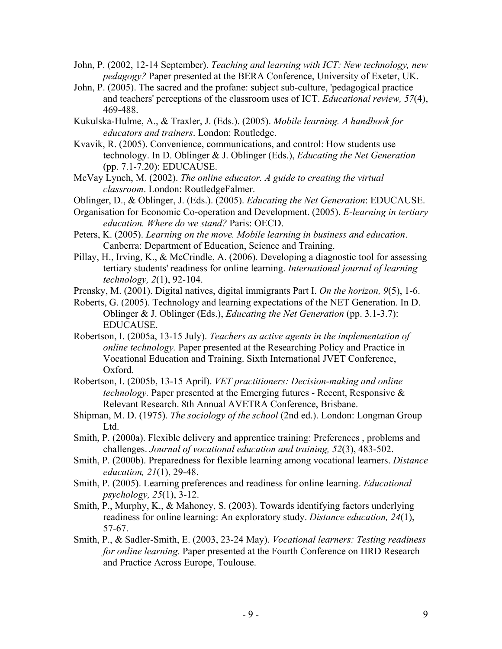- John, P. (2002, 12-14 September). *Teaching and learning with ICT: New technology, new pedagogy?* Paper presented at the BERA Conference, University of Exeter, UK.
- John, P. (2005). The sacred and the profane: subject sub-culture, 'pedagogical practice and teachers' perceptions of the classroom uses of ICT. *Educational review, 57*(4), 469-488.
- Kukulska-Hulme, A., & Traxler, J. (Eds.). (2005). *Mobile learning. A handbook for educators and trainers*. London: Routledge.
- Kvavik, R. (2005). Convenience, communications, and control: How students use technology. In D. Oblinger & J. Oblinger (Eds.), *Educating the Net Generation* (pp. 7.1-7.20): EDUCAUSE.
- McVay Lynch, M. (2002). *The online educator. A guide to creating the virtual classroom*. London: RoutledgeFalmer.
- Oblinger, D., & Oblinger, J. (Eds.). (2005). *Educating the Net Generation*: EDUCAUSE.
- Organisation for Economic Co-operation and Development. (2005). *E-learning in tertiary education. Where do we stand?* Paris: OECD.
- Peters, K. (2005). *Learning on the move. Mobile learning in business and education*. Canberra: Department of Education, Science and Training.
- Pillay, H., Irving, K., & McCrindle, A. (2006). Developing a diagnostic tool for assessing tertiary students' readiness for online learning. *International journal of learning technology, 2*(1), 92-104.
- Prensky, M. (2001). Digital natives, digital immigrants Part I. *On the horizon, 9*(5), 1-6.
- Roberts, G. (2005). Technology and learning expectations of the NET Generation. In D. Oblinger & J. Oblinger (Eds.), *Educating the Net Generation* (pp. 3.1-3.7): EDUCAUSE.
- Robertson, I. (2005a, 13-15 July). *Teachers as active agents in the implementation of online technology.* Paper presented at the Researching Policy and Practice in Vocational Education and Training. Sixth International JVET Conference, Oxford.
- Robertson, I. (2005b, 13-15 April). *VET practitioners: Decision-making and online technology.* Paper presented at the Emerging futures - Recent, Responsive & Relevant Research. 8th Annual AVETRA Conference, Brisbane.
- Shipman, M. D. (1975). *The sociology of the school* (2nd ed.). London: Longman Group Ltd.
- Smith, P. (2000a). Flexible delivery and apprentice training: Preferences , problems and challenges. *Journal of vocational education and training, 52*(3), 483-502.
- Smith, P. (2000b). Preparedness for flexible learning among vocational learners. *Distance education, 21*(1), 29-48.
- Smith, P. (2005). Learning preferences and readiness for online learning. *Educational psychology, 25*(1), 3-12.
- Smith, P., Murphy, K., & Mahoney, S. (2003). Towards identifying factors underlying readiness for online learning: An exploratory study. *Distance education, 24*(1), 57-67.
- Smith, P., & Sadler-Smith, E. (2003, 23-24 May). *Vocational learners: Testing readiness for online learning.* Paper presented at the Fourth Conference on HRD Research and Practice Across Europe, Toulouse.